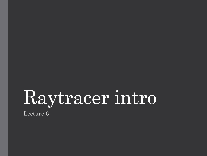# Raytracer intro

Lecture 6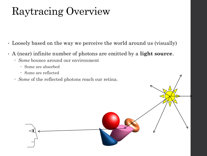#### Raytracing Overview

- Loosely based on the way we perceive the world around us (visually)
- A (near) infinite number of photons are emitted by a **light source**.
	- *Some* bounce around our environment
		- Some are absorbed
		- Some are reflected
	- *Some* of the reflected photons reach our retina.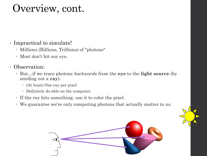#### Overview, cont.

• Impractical to simulate!

- Millions (Billions, Trillions) of "photons"
- Most don't hit our eye.
- Observation:
	- But…if we trace photons *backwards* from the **eye** to the **light source** (by sending out a **ray**):
		- (At least) One ray per pixel
		- Definitely do-able on the computer.
	- If the ray hits something, use it to color the pixel.
	- We guarantee we're only computing photons that actually matter to us.

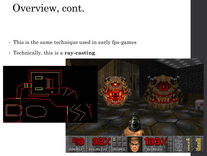#### Overview, cont.

- This is the same technique used in early fps-games
- Technically, this is a **ray-casting**.

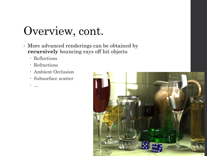# Overview, cont.

- More advanced renderings can be obtained by **recursively** bouncing rays off hit objects
	- Reflections
	- Refractions
	- Ambient Occlusion
	- Subsurface scatter
	- …

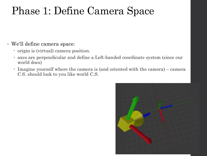#### Phase 1: Define Camera Space

#### • We'll define camera space:

- origin is (virtual) camera position.
- axes are perpendicular and define a Left-handed coordinate system (since our world does)
- Imagine yourself where the camera is (and oriented with the camera) camera C.S. should look to you like world C.S.

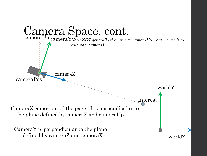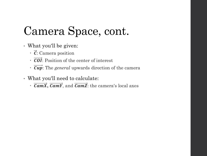# Camera Space, cont.

- What you'll be given:
	- $\cdot \vec{c}$ : Camera position
	- $\cdot$   $\overrightarrow{COI}$ : Position of the center of interest
	- : The *general* upwards direction of the camera
- What you'll need to calculate:
	- $\cdot$   $\overrightarrow{CamX}, \overrightarrow{CamY},$  and  $\overrightarrow{CamZ}$ : the camera's local axes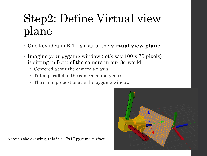# Step2: Define Virtual view plane

- One key idea in R.T. is that of the **virtual view plane**.
- Imagine your pygame window (let's say 100 x 70 pixels) is sitting in front of the camera in our 3d world.
	- Centered about the camera's z axis
	- Tilted parallel to the camera x and y axes.
	- The same proportions as the pygame window



Note: in the drawing, this is a 17x17 pygame surface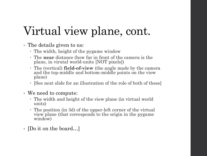# Virtual view plane, cont.

- The details given to us:
	- The width, height of the pygame window
	- The **near** distance (how far in front of the camera is the plane, in virutal world-units [NOT pixels])
	- The (vertical) **field-of-view** (the angle made by the camera and the top-middle and bottom-middle points on the view plane)
	- [See next slide for an illustration of the role of both of these]
- We need to compute:
	- The width and height of the view plane (in virtual world units)
	- The position (in 3d) of the upper-left corner of the virtual view plane (that corresponds to the origin in the pygame window)
- [Do it on the board...]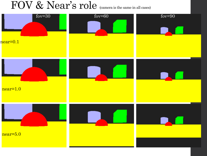#### FOV & Near's role (camera is the same in all cases)

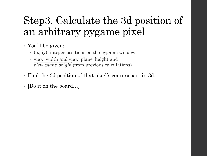### Step3. Calculate the 3d position of an arbitrary pygame pixel

- You'll be given:
	- (ix, iy): integer positions on the pygame window.
	- view\_width and view\_plane\_height and  $view\_plane\_origin$  (from previous calculations)
- Find the 3d position of that pixel's counterpart in 3d.
- [Do it on the board…]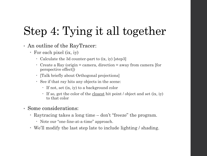# Step 4: Tying it all together

- An outline of the RayTracer:
	- For each pixel (ix, iy)
		- Calculate the 3d counter-part to (ix, iy) [step3]
		- Create a Ray (origin = camera, direction = away from camera [for perspective effect])
		- [Talk briefly about Orthogonal projections]
		- See if that ray hits any objects in the scene:
			- If not, set (ix, iy) to a background color
			- If so, get the color of the closest hit point / object and set (ix, iy) to that color
- Some considerations:
	- Raytracing takes a long time don't "freeze" the program.
		- Note our "one-line-at-a-time" approach.
	- We'll modify the last step late to include lighting / shading.